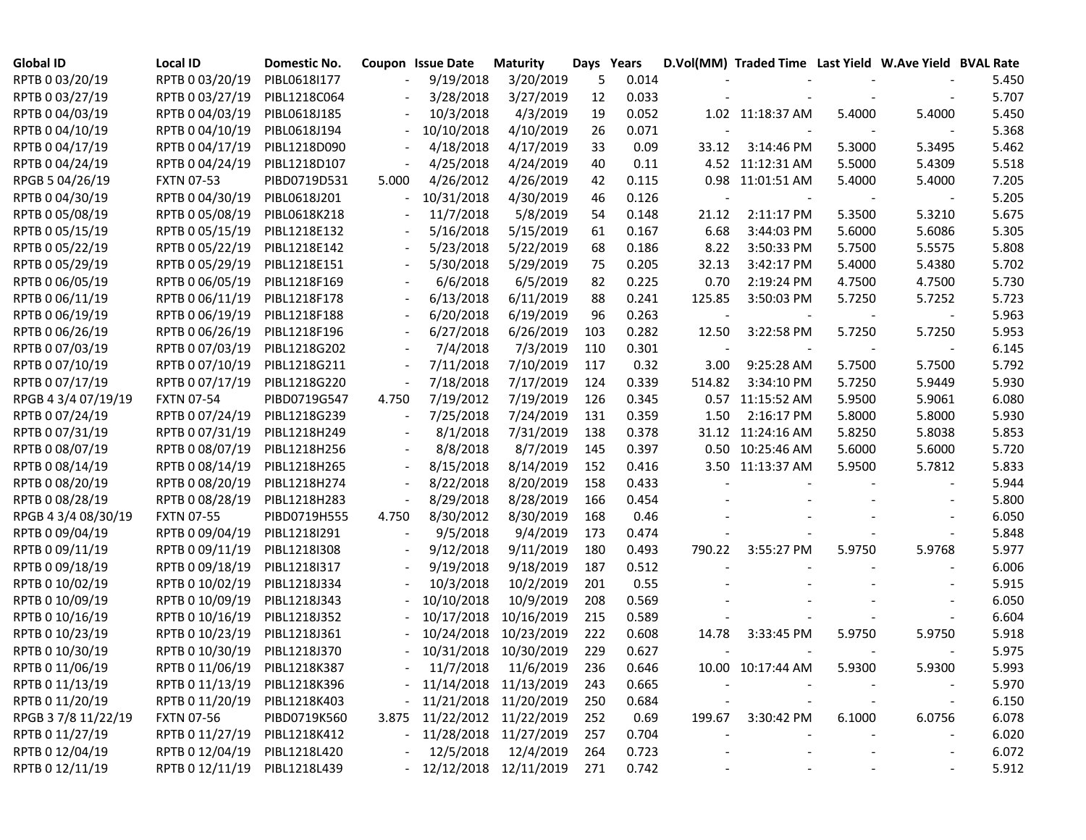| <b>Global ID</b>    | <b>Local ID</b>   | Domestic No. |                          | <b>Coupon Issue Date</b>   | <b>Maturity</b>       | Days Years |       |        | D.Vol(MM) Traded Time Last Yield W.Ave Yield BVAL Rate |        |        |       |
|---------------------|-------------------|--------------|--------------------------|----------------------------|-----------------------|------------|-------|--------|--------------------------------------------------------|--------|--------|-------|
| RPTB 0 03/20/19     | RPTB 0 03/20/19   | PIBL0618I177 |                          | 9/19/2018                  | 3/20/2019             | 5          | 0.014 |        |                                                        |        |        | 5.450 |
| RPTB 0 03/27/19     | RPTB 0 03/27/19   | PIBL1218C064 |                          | 3/28/2018                  | 3/27/2019             | 12         | 0.033 |        |                                                        |        |        | 5.707 |
| RPTB 0 04/03/19     | RPTB 0 04/03/19   | PIBL0618J185 |                          | 10/3/2018                  | 4/3/2019              | 19         | 0.052 |        | 1.02 11:18:37 AM                                       | 5.4000 | 5.4000 | 5.450 |
| RPTB 0 04/10/19     | RPTB 0 04/10/19   | PIBL0618J194 |                          | 10/10/2018                 | 4/10/2019             | 26         | 0.071 |        |                                                        |        |        | 5.368 |
| RPTB 0 04/17/19     | RPTB 0 04/17/19   | PIBL1218D090 |                          | 4/18/2018                  | 4/17/2019             | 33         | 0.09  | 33.12  | 3:14:46 PM                                             | 5.3000 | 5.3495 | 5.462 |
| RPTB 0 04/24/19     | RPTB 0 04/24/19   | PIBL1218D107 |                          | 4/25/2018                  | 4/24/2019             | 40         | 0.11  |        | 4.52 11:12:31 AM                                       | 5.5000 | 5.4309 | 5.518 |
| RPGB 5 04/26/19     | <b>FXTN 07-53</b> | PIBD0719D531 | 5.000                    | 4/26/2012                  | 4/26/2019             | 42         | 0.115 |        | 0.98 11:01:51 AM                                       | 5.4000 | 5.4000 | 7.205 |
| RPTB 0 04/30/19     | RPTB 0 04/30/19   | PIBL0618J201 |                          | 10/31/2018                 | 4/30/2019             | 46         | 0.126 |        |                                                        |        |        | 5.205 |
| RPTB 0 05/08/19     | RPTB 0 05/08/19   | PIBL0618K218 |                          | 11/7/2018                  | 5/8/2019              | 54         | 0.148 | 21.12  | 2:11:17 PM                                             | 5.3500 | 5.3210 | 5.675 |
| RPTB 0 05/15/19     | RPTB 0 05/15/19   | PIBL1218E132 |                          | 5/16/2018                  | 5/15/2019             | 61         | 0.167 | 6.68   | 3:44:03 PM                                             | 5.6000 | 5.6086 | 5.305 |
| RPTB 0 05/22/19     | RPTB 0 05/22/19   | PIBL1218E142 | $\overline{\phantom{a}}$ | 5/23/2018                  | 5/22/2019             | 68         | 0.186 | 8.22   | 3:50:33 PM                                             | 5.7500 | 5.5575 | 5.808 |
| RPTB 0 05/29/19     | RPTB 0 05/29/19   | PIBL1218E151 |                          | 5/30/2018                  | 5/29/2019             | 75         | 0.205 | 32.13  | 3:42:17 PM                                             | 5.4000 | 5.4380 | 5.702 |
| RPTB 0 06/05/19     | RPTB 0 06/05/19   | PIBL1218F169 |                          | 6/6/2018                   | 6/5/2019              | 82         | 0.225 | 0.70   | 2:19:24 PM                                             | 4.7500 | 4.7500 | 5.730 |
| RPTB 0 06/11/19     | RPTB 0 06/11/19   | PIBL1218F178 | $\overline{\phantom{a}}$ | 6/13/2018                  | 6/11/2019             | 88         | 0.241 | 125.85 | 3:50:03 PM                                             | 5.7250 | 5.7252 | 5.723 |
| RPTB 0 06/19/19     | RPTB 0 06/19/19   | PIBL1218F188 |                          | 6/20/2018                  | 6/19/2019             | 96         | 0.263 |        |                                                        |        |        | 5.963 |
| RPTB 0 06/26/19     | RPTB 0 06/26/19   | PIBL1218F196 |                          | 6/27/2018                  | 6/26/2019             | 103        | 0.282 | 12.50  | 3:22:58 PM                                             | 5.7250 | 5.7250 | 5.953 |
| RPTB 0 07/03/19     | RPTB 0 07/03/19   | PIBL1218G202 |                          | 7/4/2018                   | 7/3/2019              | 110        | 0.301 |        |                                                        |        |        | 6.145 |
| RPTB 0 07/10/19     | RPTB 0 07/10/19   | PIBL1218G211 |                          | 7/11/2018                  | 7/10/2019             | 117        | 0.32  | 3.00   | 9:25:28 AM                                             | 5.7500 | 5.7500 | 5.792 |
| RPTB 0 07/17/19     | RPTB 0 07/17/19   | PIBL1218G220 |                          | 7/18/2018                  | 7/17/2019             | 124        | 0.339 | 514.82 | 3:34:10 PM                                             | 5.7250 | 5.9449 | 5.930 |
| RPGB 4 3/4 07/19/19 | <b>FXTN 07-54</b> | PIBD0719G547 | 4.750                    | 7/19/2012                  | 7/19/2019             | 126        | 0.345 |        | 0.57 11:15:52 AM                                       | 5.9500 | 5.9061 | 6.080 |
| RPTB 0 07/24/19     | RPTB 0 07/24/19   | PIBL1218G239 | $\overline{\phantom{a}}$ | 7/25/2018                  | 7/24/2019             | 131        | 0.359 | 1.50   | 2:16:17 PM                                             | 5.8000 | 5.8000 | 5.930 |
| RPTB 0 07/31/19     | RPTB 0 07/31/19   | PIBL1218H249 |                          | 8/1/2018                   | 7/31/2019             | 138        | 0.378 |        | 31.12 11:24:16 AM                                      | 5.8250 | 5.8038 | 5.853 |
| RPTB 0 08/07/19     | RPTB 0 08/07/19   | PIBL1218H256 |                          | 8/8/2018                   | 8/7/2019              | 145        | 0.397 |        | 0.50 10:25:46 AM                                       | 5.6000 | 5.6000 | 5.720 |
| RPTB 0 08/14/19     | RPTB 0 08/14/19   | PIBL1218H265 |                          | 8/15/2018                  | 8/14/2019             | 152        | 0.416 |        | 3.50 11:13:37 AM                                       | 5.9500 | 5.7812 | 5.833 |
| RPTB 0 08/20/19     | RPTB 0 08/20/19   | PIBL1218H274 |                          | 8/22/2018                  | 8/20/2019             | 158        | 0.433 |        |                                                        |        |        | 5.944 |
| RPTB 0 08/28/19     | RPTB 0 08/28/19   | PIBL1218H283 |                          | 8/29/2018                  | 8/28/2019             | 166        | 0.454 |        |                                                        |        |        | 5.800 |
| RPGB 4 3/4 08/30/19 | <b>FXTN 07-55</b> | PIBD0719H555 | 4.750                    | 8/30/2012                  | 8/30/2019             | 168        | 0.46  |        |                                                        |        |        | 6.050 |
| RPTB 0 09/04/19     | RPTB 0 09/04/19   | PIBL1218I291 |                          | 9/5/2018                   | 9/4/2019              | 173        | 0.474 |        |                                                        |        |        | 5.848 |
| RPTB 0 09/11/19     | RPTB 0 09/11/19   | PIBL1218I308 |                          | 9/12/2018                  | 9/11/2019             | 180        | 0.493 | 790.22 | 3:55:27 PM                                             | 5.9750 | 5.9768 | 5.977 |
| RPTB 0 09/18/19     | RPTB 0 09/18/19   | PIBL1218I317 |                          | 9/19/2018                  | 9/18/2019             | 187        | 0.512 |        |                                                        |        |        | 6.006 |
| RPTB 0 10/02/19     | RPTB 0 10/02/19   | PIBL1218J334 |                          | 10/3/2018                  | 10/2/2019             | 201        | 0.55  |        |                                                        |        |        | 5.915 |
| RPTB 0 10/09/19     | RPTB 0 10/09/19   | PIBL1218J343 |                          | 10/10/2018                 | 10/9/2019             | 208        | 0.569 |        |                                                        |        |        | 6.050 |
| RPTB 0 10/16/19     | RPTB 0 10/16/19   | PIBL1218J352 |                          | 10/17/2018                 | 10/16/2019            | 215        | 0.589 |        |                                                        |        |        | 6.604 |
| RPTB 0 10/23/19     | RPTB 0 10/23/19   | PIBL1218J361 |                          | 10/24/2018                 | 10/23/2019            | 222        | 0.608 | 14.78  | 3:33:45 PM                                             | 5.9750 | 5.9750 | 5.918 |
| RPTB 0 10/30/19     | RPTB 0 10/30/19   | PIBL1218J370 |                          | 10/31/2018                 | 10/30/2019            | 229        | 0.627 |        |                                                        |        |        | 5.975 |
| RPTB 0 11/06/19     | RPTB 0 11/06/19   | PIBL1218K387 |                          | 11/7/2018                  | 11/6/2019             | 236        | 0.646 |        | 10.00 10:17:44 AM                                      | 5.9300 | 5.9300 | 5.993 |
| RPTB 0 11/13/19     | RPTB 0 11/13/19   | PIBL1218K396 |                          | $-11/14/2018$ $11/13/2019$ |                       | 243        | 0.665 |        |                                                        |        |        | 5.970 |
| RPTB 0 11/20/19     | RPTB 0 11/20/19   | PIBL1218K403 |                          |                            | 11/21/2018 11/20/2019 | 250        | 0.684 |        |                                                        |        |        | 6.150 |
| RPGB 37/8 11/22/19  | <b>FXTN 07-56</b> | PIBD0719K560 | 3.875                    |                            | 11/22/2012 11/22/2019 | 252        | 0.69  | 199.67 | 3:30:42 PM                                             | 6.1000 | 6.0756 | 6.078 |
| RPTB 0 11/27/19     | RPTB 0 11/27/19   | PIBL1218K412 |                          |                            | 11/28/2018 11/27/2019 | 257        | 0.704 |        |                                                        |        |        | 6.020 |
| RPTB 0 12/04/19     | RPTB 0 12/04/19   | PIBL1218L420 |                          | 12/5/2018                  | 12/4/2019             | 264        | 0.723 |        |                                                        |        |        | 6.072 |
| RPTB 0 12/11/19     | RPTB 0 12/11/19   | PIBL1218L439 |                          |                            | 12/12/2018 12/11/2019 | 271        | 0.742 |        |                                                        |        |        | 5.912 |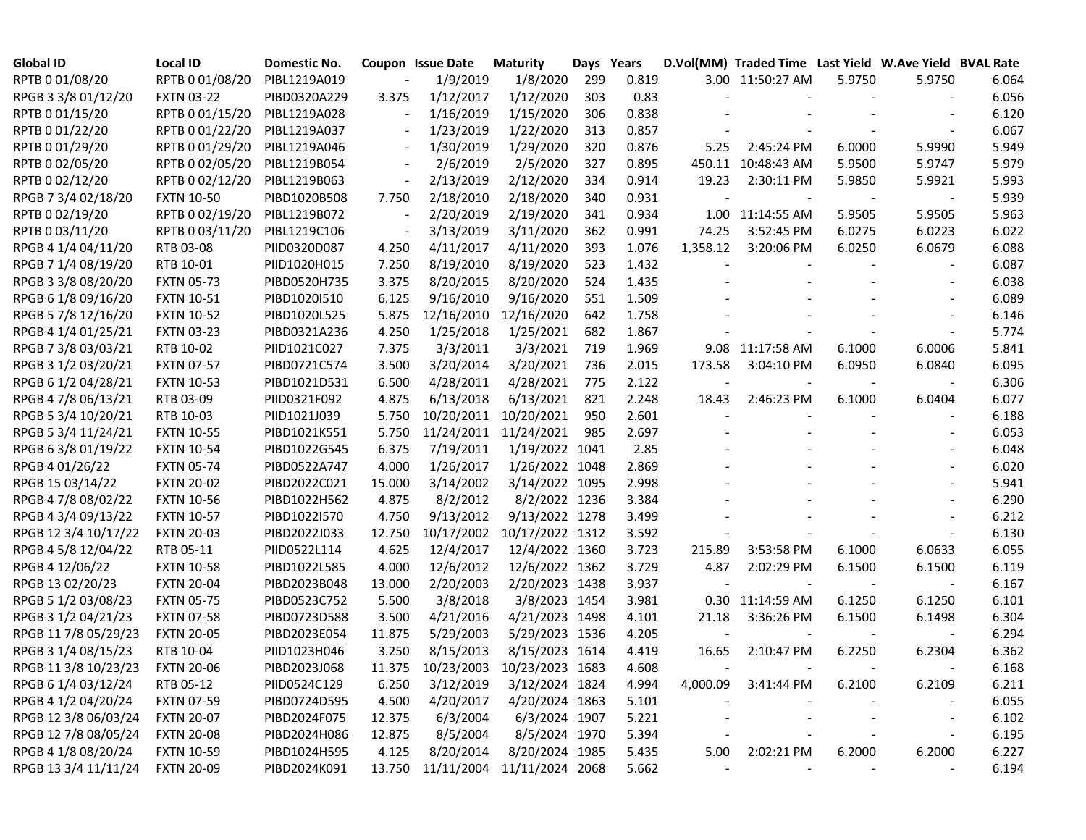| <b>Global ID</b>     | <b>Local ID</b>   | <b>Domestic No.</b> |                          | Coupon Issue Date | <b>Maturity</b>            | Days Years |       |          | D.Vol(MM) Traded Time Last Yield W.Ave Yield BVAL Rate |        |        |       |
|----------------------|-------------------|---------------------|--------------------------|-------------------|----------------------------|------------|-------|----------|--------------------------------------------------------|--------|--------|-------|
| RPTB 0 01/08/20      | RPTB 0 01/08/20   | PIBL1219A019        |                          | 1/9/2019          | 1/8/2020                   | 299        | 0.819 |          | 3.00 11:50:27 AM                                       | 5.9750 | 5.9750 | 6.064 |
| RPGB 3 3/8 01/12/20  | <b>FXTN 03-22</b> | PIBD0320A229        | 3.375                    | 1/12/2017         | 1/12/2020                  | 303        | 0.83  |          |                                                        |        |        | 6.056 |
| RPTB 0 01/15/20      | RPTB 0 01/15/20   | PIBL1219A028        |                          | 1/16/2019         | 1/15/2020                  | 306        | 0.838 |          |                                                        |        |        | 6.120 |
| RPTB 0 01/22/20      | RPTB 0 01/22/20   | PIBL1219A037        |                          | 1/23/2019         | 1/22/2020                  | 313        | 0.857 |          |                                                        |        |        | 6.067 |
| RPTB 0 01/29/20      | RPTB 0 01/29/20   | PIBL1219A046        |                          | 1/30/2019         | 1/29/2020                  | 320        | 0.876 | 5.25     | 2:45:24 PM                                             | 6.0000 | 5.9990 | 5.949 |
| RPTB 0 02/05/20      | RPTB 0 02/05/20   | PIBL1219B054        |                          | 2/6/2019          | 2/5/2020                   | 327        | 0.895 | 450.11   | 10:48:43 AM                                            | 5.9500 | 5.9747 | 5.979 |
| RPTB 0 02/12/20      | RPTB 0 02/12/20   | PIBL1219B063        |                          | 2/13/2019         | 2/12/2020                  | 334        | 0.914 | 19.23    | 2:30:11 PM                                             | 5.9850 | 5.9921 | 5.993 |
| RPGB 7 3/4 02/18/20  | <b>FXTN 10-50</b> | PIBD1020B508        | 7.750                    | 2/18/2010         | 2/18/2020                  | 340        | 0.931 |          |                                                        |        |        | 5.939 |
| RPTB 0 02/19/20      | RPTB 0 02/19/20   | PIBL1219B072        | $\overline{\phantom{a}}$ | 2/20/2019         | 2/19/2020                  | 341        | 0.934 |          | 1.00 11:14:55 AM                                       | 5.9505 | 5.9505 | 5.963 |
| RPTB 0 03/11/20      | RPTB 0 03/11/20   | PIBL1219C106        |                          | 3/13/2019         | 3/11/2020                  | 362        | 0.991 | 74.25    | 3:52:45 PM                                             | 6.0275 | 6.0223 | 6.022 |
| RPGB 4 1/4 04/11/20  | RTB 03-08         | PIID0320D087        | 4.250                    | 4/11/2017         | 4/11/2020                  | 393        | 1.076 | 1,358.12 | 3:20:06 PM                                             | 6.0250 | 6.0679 | 6.088 |
| RPGB 7 1/4 08/19/20  | RTB 10-01         | PIID1020H015        | 7.250                    | 8/19/2010         | 8/19/2020                  | 523        | 1.432 |          |                                                        |        |        | 6.087 |
| RPGB 3 3/8 08/20/20  | <b>FXTN 05-73</b> | PIBD0520H735        | 3.375                    | 8/20/2015         | 8/20/2020                  | 524        | 1.435 |          |                                                        |        |        | 6.038 |
| RPGB 6 1/8 09/16/20  | <b>FXTN 10-51</b> | PIBD1020I510        | 6.125                    | 9/16/2010         | 9/16/2020                  | 551        | 1.509 |          |                                                        |        |        | 6.089 |
| RPGB 5 7/8 12/16/20  | <b>FXTN 10-52</b> | PIBD1020L525        | 5.875                    | 12/16/2010        | 12/16/2020                 | 642        | 1.758 |          |                                                        |        |        | 6.146 |
| RPGB 4 1/4 01/25/21  | <b>FXTN 03-23</b> | PIBD0321A236        | 4.250                    | 1/25/2018         | 1/25/2021                  | 682        | 1.867 |          |                                                        |        |        | 5.774 |
| RPGB 7 3/8 03/03/21  | RTB 10-02         | PIID1021C027        | 7.375                    | 3/3/2011          | 3/3/2021                   | 719        | 1.969 |          | 9.08 11:17:58 AM                                       | 6.1000 | 6.0006 | 5.841 |
| RPGB 3 1/2 03/20/21  | <b>FXTN 07-57</b> | PIBD0721C574        | 3.500                    | 3/20/2014         | 3/20/2021                  | 736        | 2.015 | 173.58   | 3:04:10 PM                                             | 6.0950 | 6.0840 | 6.095 |
| RPGB 6 1/2 04/28/21  | <b>FXTN 10-53</b> | PIBD1021D531        | 6.500                    | 4/28/2011         | 4/28/2021                  | 775        | 2.122 |          |                                                        |        |        | 6.306 |
| RPGB 4 7/8 06/13/21  | RTB 03-09         | PIID0321F092        | 4.875                    | 6/13/2018         | 6/13/2021                  | 821        | 2.248 | 18.43    | 2:46:23 PM                                             | 6.1000 | 6.0404 | 6.077 |
| RPGB 5 3/4 10/20/21  | RTB 10-03         | PIID1021J039        | 5.750                    | 10/20/2011        | 10/20/2021                 | 950        | 2.601 |          |                                                        |        |        | 6.188 |
| RPGB 5 3/4 11/24/21  | <b>FXTN 10-55</b> | PIBD1021K551        | 5.750                    | 11/24/2011        | 11/24/2021                 | 985        | 2.697 |          |                                                        |        |        | 6.053 |
| RPGB 63/801/19/22    | <b>FXTN 10-54</b> | PIBD1022G545        | 6.375                    | 7/19/2011         | 1/19/2022 1041             |            | 2.85  |          |                                                        |        |        | 6.048 |
| RPGB 4 01/26/22      | <b>FXTN 05-74</b> | PIBD0522A747        | 4.000                    | 1/26/2017         | 1/26/2022 1048             |            | 2.869 |          |                                                        |        |        | 6.020 |
| RPGB 15 03/14/22     | <b>FXTN 20-02</b> | PIBD2022C021        | 15.000                   | 3/14/2002         | 3/14/2022 1095             |            | 2.998 |          |                                                        |        |        | 5.941 |
| RPGB 4 7/8 08/02/22  | <b>FXTN 10-56</b> | PIBD1022H562        | 4.875                    | 8/2/2012          | 8/2/2022 1236              |            | 3.384 |          |                                                        |        |        | 6.290 |
| RPGB 4 3/4 09/13/22  | <b>FXTN 10-57</b> | PIBD1022I570        | 4.750                    | 9/13/2012         | 9/13/2022 1278             |            | 3.499 |          |                                                        |        |        | 6.212 |
| RPGB 12 3/4 10/17/22 | <b>FXTN 20-03</b> | PIBD2022J033        | 12.750                   | 10/17/2002        | 10/17/2022 1312            |            | 3.592 |          |                                                        |        |        | 6.130 |
| RPGB 4 5/8 12/04/22  | RTB 05-11         | PIID0522L114        | 4.625                    | 12/4/2017         | 12/4/2022 1360             |            | 3.723 | 215.89   | 3:53:58 PM                                             | 6.1000 | 6.0633 | 6.055 |
| RPGB 4 12/06/22      | <b>FXTN 10-58</b> | PIBD1022L585        | 4.000                    | 12/6/2012         | 12/6/2022 1362             |            | 3.729 | 4.87     | 2:02:29 PM                                             | 6.1500 | 6.1500 | 6.119 |
| RPGB 13 02/20/23     | <b>FXTN 20-04</b> | PIBD2023B048        | 13.000                   | 2/20/2003         | 2/20/2023 1438             |            | 3.937 |          |                                                        |        |        | 6.167 |
| RPGB 5 1/2 03/08/23  | <b>FXTN 05-75</b> | PIBD0523C752        | 5.500                    | 3/8/2018          | 3/8/2023 1454              |            | 3.981 |          | 0.30 11:14:59 AM                                       | 6.1250 | 6.1250 | 6.101 |
| RPGB 3 1/2 04/21/23  | <b>FXTN 07-58</b> | PIBD0723D588        | 3.500                    | 4/21/2016         | 4/21/2023 1498             |            | 4.101 | 21.18    | 3:36:26 PM                                             | 6.1500 | 6.1498 | 6.304 |
| RPGB 11 7/8 05/29/23 | <b>FXTN 20-05</b> | PIBD2023E054        | 11.875                   | 5/29/2003         | 5/29/2023 1536             |            | 4.205 |          |                                                        |        |        | 6.294 |
| RPGB 3 1/4 08/15/23  | RTB 10-04         | PIID1023H046        | 3.250                    | 8/15/2013         | 8/15/2023 1614             |            | 4.419 | 16.65    | 2:10:47 PM                                             | 6.2250 | 6.2304 | 6.362 |
| RPGB 11 3/8 10/23/23 | <b>FXTN 20-06</b> | PIBD2023J068        | 11.375                   | 10/23/2003        | 10/23/2023 1683            |            | 4.608 |          |                                                        |        |        | 6.168 |
| RPGB 6 1/4 03/12/24  | RTB 05-12         | PIID0524C129        | 6.250                    | 3/12/2019         | 3/12/2024 1824             |            | 4.994 |          | 4,000.09 3:41:44 PM                                    | 6.2100 | 6.2109 | 6.211 |
| RPGB 4 1/2 04/20/24  | <b>FXTN 07-59</b> | PIBD0724D595        | 4.500                    | 4/20/2017         | 4/20/2024 1863             |            | 5.101 |          |                                                        |        |        | 6.055 |
| RPGB 12 3/8 06/03/24 | <b>FXTN 20-07</b> | PIBD2024F075        | 12.375                   | 6/3/2004          | 6/3/2024 1907              |            | 5.221 |          |                                                        |        |        | 6.102 |
| RPGB 12 7/8 08/05/24 | <b>FXTN 20-08</b> | PIBD2024H086        | 12.875                   | 8/5/2004          | 8/5/2024 1970              |            | 5.394 |          |                                                        |        |        | 6.195 |
| RPGB 4 1/8 08/20/24  | <b>FXTN 10-59</b> | PIBD1024H595        | 4.125                    | 8/20/2014         | 8/20/2024 1985             |            | 5.435 | 5.00     | 2:02:21 PM                                             | 6.2000 | 6.2000 | 6.227 |
| RPGB 13 3/4 11/11/24 | <b>FXTN 20-09</b> | PIBD2024K091        | 13.750                   |                   | 11/11/2004 11/11/2024 2068 |            | 5.662 |          |                                                        |        |        | 6.194 |